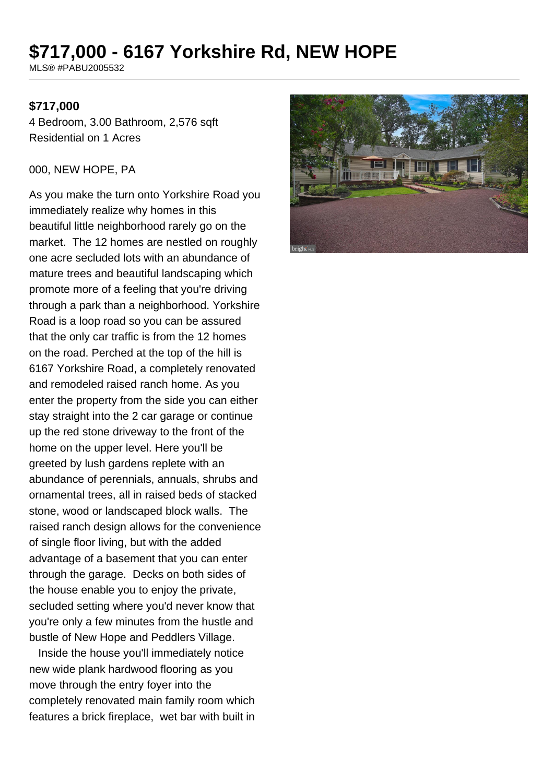# **\$717,000 - 6167 Yorkshire Rd, NEW HOPE**

MLS® #PABU2005532

#### **\$717,000**

4 Bedroom, 3.00 Bathroom, 2,576 sqft Residential on 1 Acres

#### 000, NEW HOPE, PA

As you make the turn onto Yorkshire Road you immediately realize why homes in this beautiful little neighborhood rarely go on the market. The 12 homes are nestled on roughly one acre secluded lots with an abundance of mature trees and beautiful landscaping which promote more of a feeling that you're driving through a park than a neighborhood. Yorkshire Road is a loop road so you can be assured that the only car traffic is from the 12 homes on the road. Perched at the top of the hill is 6167 Yorkshire Road, a completely renovated and remodeled raised ranch home. As you enter the property from the side you can either stay straight into the 2 car garage or continue up the red stone driveway to the front of the home on the upper level. Here you'll be greeted by lush gardens replete with an abundance of perennials, annuals, shrubs and ornamental trees, all in raised beds of stacked stone, wood or landscaped block walls. The raised ranch design allows for the convenience of single floor living, but with the added advantage of a basement that you can enter through the garage. Decks on both sides of the house enable you to enjoy the private, secluded setting where you'd never know that you're only a few minutes from the hustle and bustle of New Hope and Peddlers Village.

 Inside the house you'll immediately notice new wide plank hardwood flooring as you move through the entry foyer into the completely renovated main family room which features a brick fireplace, wet bar with built in

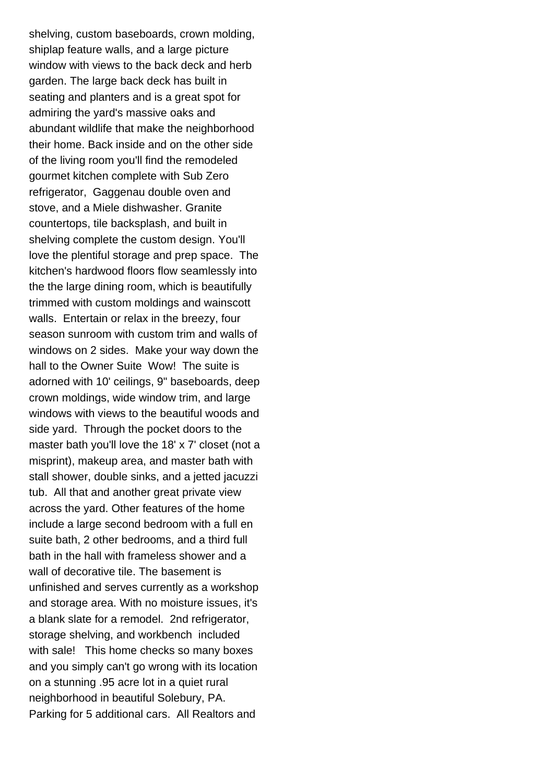shelving, custom baseboards, crown molding, shiplap feature walls, and a large picture window with views to the back deck and herb garden. The large back deck has built in seating and planters and is a great spot for admiring the yard's massive oaks and abundant wildlife that make the neighborhood their home. Back inside and on the other side of the living room you'll find the remodeled gourmet kitchen complete with Sub Zero refrigerator, Gaggenau double oven and stove, and a Miele dishwasher. Granite countertops, tile backsplash, and built in shelving complete the custom design. You'll love the plentiful storage and prep space. The kitchen's hardwood floors flow seamlessly into the the large dining room, which is beautifully trimmed with custom moldings and wainscott walls. Entertain or relax in the breezy, four season sunroom with custom trim and walls of windows on 2 sides. Make your way down the hall to the Owner Suite Wow! The suite is adorned with 10' ceilings, 9" baseboards, deep crown moldings, wide window trim, and large windows with views to the beautiful woods and side yard. Through the pocket doors to the master bath you'll love the 18' x 7' closet (not a misprint), makeup area, and master bath with stall shower, double sinks, and a jetted jacuzzi tub. All that and another great private view across the yard. Other features of the home include a large second bedroom with a full en suite bath, 2 other bedrooms, and a third full bath in the hall with frameless shower and a wall of decorative tile. The basement is unfinished and serves currently as a workshop and storage area. With no moisture issues, it's a blank slate for a remodel. 2nd refrigerator, storage shelving, and workbench included with sale! This home checks so many boxes and you simply can't go wrong with its location on a stunning .95 acre lot in a quiet rural neighborhood in beautiful Solebury, PA. Parking for 5 additional cars. All Realtors and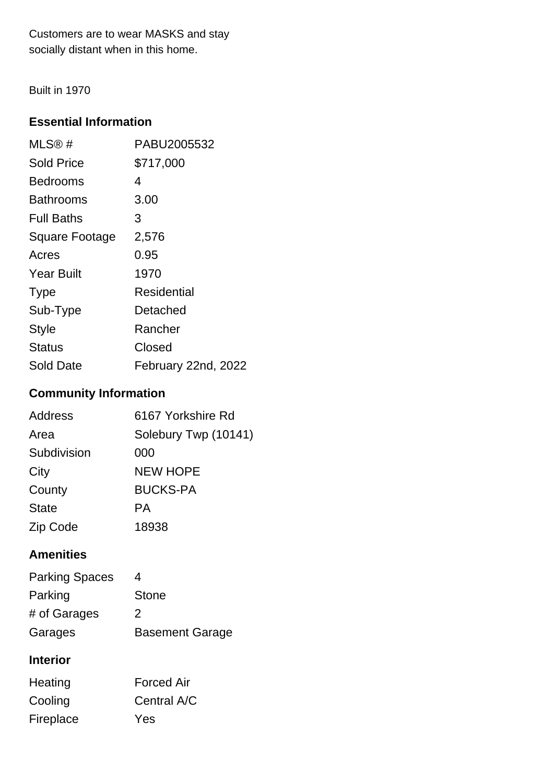Customers are to wear MASKS and stay socially distant when in this home.

Built in 1970

## **Essential Information**

| MLS@#                 | PABU2005532         |
|-----------------------|---------------------|
| <b>Sold Price</b>     | \$717,000           |
| <b>Bedrooms</b>       | 4                   |
| Bathrooms             | 3.00                |
| <b>Full Baths</b>     | 3                   |
| <b>Square Footage</b> | 2,576               |
| Acres                 | 0.95                |
| Year Built            | 1970                |
| <b>Type</b>           | Residential         |
| Sub-Type              | Detached            |
| <b>Style</b>          | Rancher             |
| <b>Status</b>         | Closed              |
| <b>Sold Date</b>      | February 22nd, 2022 |

## **Community Information**

| <b>Address</b> | 6167 Yorkshire Rd    |
|----------------|----------------------|
| Area           | Solebury Twp (10141) |
| Subdivision    | 000                  |
| City           | <b>NEW HOPE</b>      |
| County         | <b>BUCKS-PA</b>      |
| <b>State</b>   | PА                   |
| Zip Code       | 18938                |

## **Amenities**

| <b>Parking Spaces</b> | 4                      |
|-----------------------|------------------------|
| Parking               | <b>Stone</b>           |
| # of Garages          | $\mathcal{P}$          |
| Garages               | <b>Basement Garage</b> |

## **Interior**

| Heating   | <b>Forced Air</b> |
|-----------|-------------------|
| Cooling   | Central A/C       |
| Fireplace | Yes               |